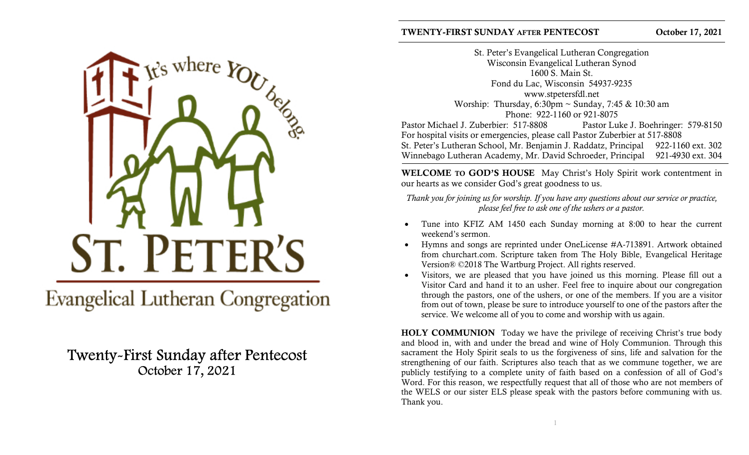

**Evangelical Lutheran Congregation** 

# Twenty-First Sunday after Pentecost October 17, 2021

St. Peter's Evangelical Lutheran Congregation Wisconsin Evangelical Lutheran Synod 1600 S. Main St. Fond du Lac, Wisconsin 54937-9235 www.stpetersfdl.net Worship: Thursday,  $6:30 \text{pm} \sim \text{Sundav}$ ,  $7:45 \& 10:30 \text{am}$ Phone: 922-1160 or 921-8075 Pastor Michael J. Zuberbier: 517-8808 Pastor Luke J. Boehringer: 579-8150 For hospital visits or emergencies, please call Pastor Zuberbier at 517-8808 St. Peter's Lutheran School, Mr. Benjamin J. Raddatz, Principal 922-1160 ext. 302 Winnebago Lutheran Academy, Mr. David Schroeder, Principal 921-4930 ext. 304

WELCOME TO GOD'S HOUSE May Christ's Holy Spirit work contentment in our hearts as we consider God's great goodness to us.

Thank you for joining us for worship. If you have any questions about our service or practice, please feel free to ask one of the ushers or a pastor.

- Tune into KFIZ AM 1450 each Sunday morning at 8:00 to hear the current weekend's sermon.
- Hymns and songs are reprinted under OneLicense #A-713891. Artwork obtained from churchart.com. Scripture taken from The Holy Bible, Evangelical Heritage Version® ©2018 The Wartburg Project. All rights reserved.
- Visitors, we are pleased that you have joined us this morning. Please fill out a Visitor Card and hand it to an usher. Feel free to inquire about our congregation through the pastors, one of the ushers, or one of the members. If you are a visitor from out of town, please be sure to introduce yourself to one of the pastors after the service. We welcome all of you to come and worship with us again.

HOLY COMMUNION Today we have the privilege of receiving Christ's true body and blood in, with and under the bread and wine of Holy Communion. Through this sacrament the Holy Spirit seals to us the forgiveness of sins, life and salvation for the strengthening of our faith. Scriptures also teach that as we commune together, we are publicly testifying to a complete unity of faith based on a confession of all of God's Word. For this reason, we respectfully request that all of those who are not members of the WELS or our sister ELS please speak with the pastors before communing with us. Thank you.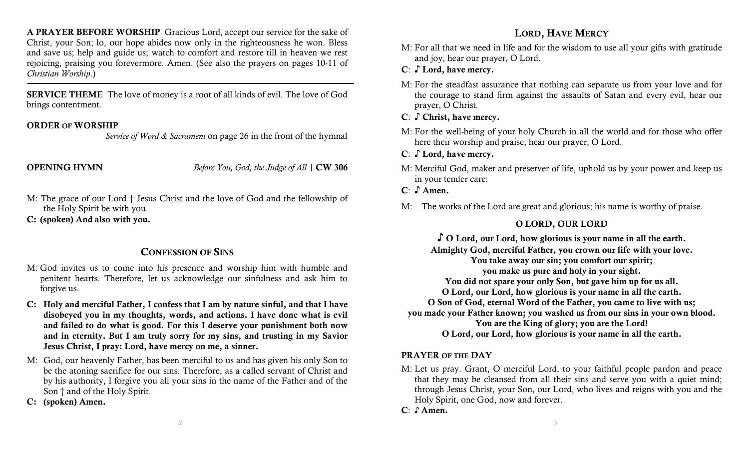A PRAYER BEFORE WORSHIP Gracious Lord, accept our service for the sake of Christ, your Son; lo, our hope abides now only in the righteousness he won. Bless and save us; help and guide us; watch to comfort and restore till in heaven we rest rejoicing, praising you forevermore. Amen. (See also the prayers on pages 10-11 of Christian Worship.)

SERVICE THEME The love of money is a root of all kinds of evil. The love of God brings contentment.

#### ORDER OF WORSHIP

Service of Word & Sacrament on page 26 in the front of the hymnal

**OPENING HYMN** Before You, God, the Judge of All | CW 306

- M: The grace of our Lord † Jesus Christ and the love of God and the fellowship of the Holy Spirit be with you.
- C: (spoken) And also with you.

## CONFESSION OF SINS

- M: God invites us to come into his presence and worship him with humble and penitent hearts. Therefore, let us acknowledge our sinfulness and ask him to forgive us.
- C: Holy and merciful Father, I confess that I am by nature sinful, and that I have disobeyed you in my thoughts, words, and actions. I have done what is evil and failed to do what is good. For this I deserve your punishment both now and in eternity. But I am truly sorry for my sins, and trusting in my Savior Jesus Christ, I pray: Lord, have mercy on me, a sinner.
- M: God, our heavenly Father, has been merciful to us and has given his only Son to be the atoning sacrifice for our sins. Therefore, as a called servant of Christ and by his authority, I forgive you all your sins in the name of the Father and of the Son † and of the Holy Spirit.
- C: (spoken) Amen.

## LORD, HAVE MERCY

- M: For all that we need in life and for the wisdom to use all your gifts with gratitude and joy, hear our prayer, O Lord.
- C: ♪ Lord, have mercy.
- M: For the steadfast assurance that nothing can separate us from your love and for the courage to stand firm against the assaults of Satan and every evil, hear our prayer, O Christ.
- C: S Christ, have mercy.
- M: For the well-being of your holy Church in all the world and for those who offer here their worship and praise, hear our prayer, O Lord.
- C: ♪ Lord, have mercy.
- M: Merciful God, maker and preserver of life, uphold us by your power and keep us in your tender care:
- C: S Amen.
- M: The works of the Lord are great and glorious; his name is worthy of praise.

## O LORD, OUR LORD

♪ O Lord, our Lord, how glorious is your name in all the earth. Almighty God, merciful Father, you crown our life with your love. You take away our sin; you comfort our spirit; you make us pure and holy in your sight. You did not spare your only Son, but gave him up for us all. O Lord, our Lord, how glorious is your name in all the earth. O Son of God, eternal Word of the Father, you came to live with us; you made your Father known; you washed us from our sins in your own blood. You are the King of glory; you are the Lord! O Lord, our Lord, how glorious is your name in all the earth.

## PRAYER OF THE DAY

- M: Let us pray. Grant, O merciful Lord, to your faithful people pardon and peace that they may be cleansed from all their sins and serve you with a quiet mind; through Jesus Christ, your Son, our Lord, who lives and reigns with you and the Holy Spirit, one God, now and forever.
- C: ♪ Amen.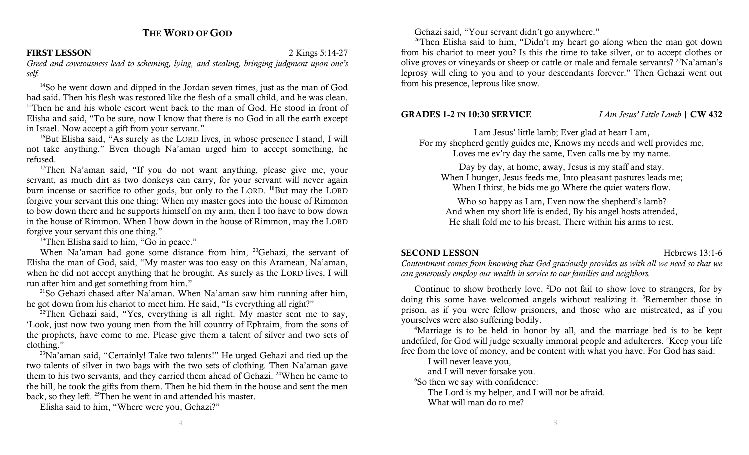## THE WORD OF GOD

#### FIRST LESSON 2 Kings 5:14-27

Greed and covetousness lead to scheming, lying, and stealing, bringing judgment upon one's self.

<sup>14</sup>So he went down and dipped in the Jordan seven times, just as the man of God had said. Then his flesh was restored like the flesh of a small child, and he was clean. <sup>15</sup>Then he and his whole escort went back to the man of God. He stood in front of Elisha and said, "To be sure, now I know that there is no God in all the earth except in Israel. Now accept a gift from your servant."

 $16$ But Elisha said, "As surely as the LORD lives, in whose presence I stand, I will not take anything." Even though Na'aman urged him to accept something, he refused.

<sup>17</sup>Then Na'aman said, "If you do not want anything, please give me, your servant, as much dirt as two donkeys can carry, for your servant will never again burn incense or sacrifice to other gods, but only to the LORD. <sup>18</sup>But may the LORD forgive your servant this one thing: When my master goes into the house of Rimmon to bow down there and he supports himself on my arm, then I too have to bow down in the house of Rimmon. When I bow down in the house of Rimmon, may the LORD forgive your servant this one thing."

<sup>19</sup>Then Elisha said to him, "Go in peace."

When Na'aman had gone some distance from him, <sup>20</sup>Gehazi, the servant of Elisha the man of God, said, "My master was too easy on this Aramean, Na'aman, when he did not accept anything that he brought. As surely as the LORD lives, I will run after him and get something from him."

 $21$ So Gehazi chased after Na'aman. When Na'aman saw him running after him, he got down from his chariot to meet him. He said, "Is everything all right?"

 $22$ Then Gehazi said, "Yes, everything is all right. My master sent me to say, 'Look, just now two young men from the hill country of Ephraim, from the sons of the prophets, have come to me. Please give them a talent of silver and two sets of clothing."

<sup>23</sup>Na'aman said, "Certainly! Take two talents!" He urged Gehazi and tied up the two talents of silver in two bags with the two sets of clothing. Then Na'aman gave them to his two servants, and they carried them ahead of Gehazi. <sup>24</sup>When he came to the hill, he took the gifts from them. Then he hid them in the house and sent the men back, so they left. <sup>25</sup>Then he went in and attended his master.

Elisha said to him, "Where were you, Gehazi?"

Gehazi said, "Your servant didn't go anywhere."

<sup>26</sup>Then Elisha said to him, "Didn't my heart go along when the man got down from his chariot to meet you? Is this the time to take silver, or to accept clothes or olive groves or vineyards or sheep or cattle or male and female servants? <sup>27</sup>Na'aman's leprosy will cling to you and to your descendants forever." Then Gehazi went out from his presence, leprous like snow.

#### **GRADES 1-2 IN 10:30 SERVICE**  $I Am Jesus' Little Lamb \mid CW 432$

I am Jesus' little lamb; Ever glad at heart I am, For my shepherd gently guides me, Knows my needs and well provides me, Loves me ev'ry day the same, Even calls me by my name.

Day by day, at home, away, Jesus is my staff and stay. When I hunger, Jesus feeds me, Into pleasant pastures leads me; When I thirst, he bids me go Where the quiet waters flow.

Who so happy as I am, Even now the shepherd's lamb? And when my short life is ended, By his angel hosts attended, He shall fold me to his breast, There within his arms to rest.

#### SECOND LESSON Hebrews 13:1-6

Contentment comes from knowing that God graciously provides us with all we need so that we can generously employ our wealth in service to our families and neighbors.

Continue to show brotherly love. <sup>2</sup>Do not fail to show love to strangers, for by doing this some have welcomed angels without realizing it. <sup>3</sup>Remember those in prison, as if you were fellow prisoners, and those who are mistreated, as if you yourselves were also suffering bodily.

<sup>4</sup>Marriage is to be held in honor by all, and the marriage bed is to be kept undefiled, for God will judge sexually immoral people and adulterers. <sup>5</sup>Keep your life free from the love of money, and be content with what you have. For God has said:

I will never leave you,

and I will never forsake you.

<sup>6</sup>So then we say with confidence:

The Lord is my helper, and I will not be afraid.

What will man do to me?

4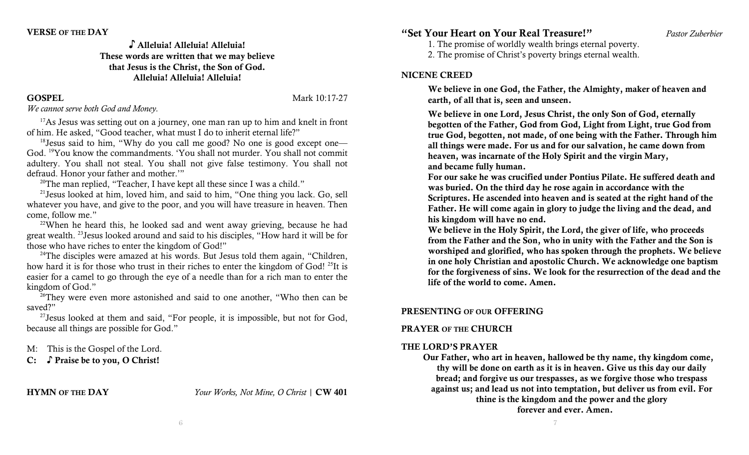#### ♪ Alleluia! Alleluia! Alleluia! These words are written that we may believe that Jesus is the Christ, the Son of God. Alleluia! Alleluia! Alleluia!

GOSPEL Mark 10:17-27

We cannot serve both God and Money.

 $17$ As Jesus was setting out on a journey, one man ran up to him and knelt in front of him. He asked, "Good teacher, what must I do to inherit eternal life?"

 $18$  Jesus said to him, "Why do you call me good? No one is good except one— God. <sup>19</sup>You know the commandments. 'You shall not murder. You shall not commit adultery. You shall not steal. You shall not give false testimony. You shall not defraud. Honor your father and mother.'"

<sup>20</sup>The man replied, "Teacher, I have kept all these since I was a child."

 $21$  Jesus looked at him, loved him, and said to him, "One thing you lack. Go, sell whatever you have, and give to the poor, and you will have treasure in heaven. Then come, follow me."

 $22$ When he heard this, he looked sad and went away grieving, because he had great wealth. <sup>23</sup>Jesus looked around and said to his disciples, "How hard it will be for those who have riches to enter the kingdom of God!"

 $24$ The disciples were amazed at his words. But Jesus told them again, "Children, how hard it is for those who trust in their riches to enter the kingdom of God!<sup>25</sup>It is easier for a camel to go through the eye of a needle than for a rich man to enter the kingdom of God."

 $26$ They were even more astonished and said to one another, "Who then can be saved?"

 $27$ Jesus looked at them and said, "For people, it is impossible, but not for God, because all things are possible for God."

M: This is the Gospel of the Lord.

C: ♪ Praise be to you, O Christ!

HYMN OF THE DAY Your Works, Not Mine, O Christ | CW 401

## "Set Your Heart on Your Real Treasure!" Pastor Zuberbier

1. The promise of worldly wealth brings eternal poverty.

2. The promise of Christ's poverty brings eternal wealth.

#### NICENE CREED

We believe in one God, the Father, the Almighty, maker of heaven and earth, of all that is, seen and unseen.

We believe in one Lord, Jesus Christ, the only Son of God, eternally begotten of the Father, God from God, Light from Light, true God from true God, begotten, not made, of one being with the Father. Through him all things were made. For us and for our salvation, he came down from heaven, was incarnate of the Holy Spirit and the virgin Mary, and became fully human.

For our sake he was crucified under Pontius Pilate. He suffered death and was buried. On the third day he rose again in accordance with the Scriptures. He ascended into heaven and is seated at the right hand of the Father. He will come again in glory to judge the living and the dead, and his kingdom will have no end.

We believe in the Holy Spirit, the Lord, the giver of life, who proceeds from the Father and the Son, who in unity with the Father and the Son is worshiped and glorified, who has spoken through the prophets. We believe in one holy Christian and apostolic Church. We acknowledge one baptism for the forgiveness of sins. We look for the resurrection of the dead and the life of the world to come. Amen.

## PRESENTING OF OUR OFFERING

## PRAYER OF THE CHURCH

## THE LORD'S PRAYER

Our Father, who art in heaven, hallowed be thy name, thy kingdom come, thy will be done on earth as it is in heaven. Give us this day our daily bread; and forgive us our trespasses, as we forgive those who trespass against us; and lead us not into temptation, but deliver us from evil. For thine is the kingdom and the power and the glory forever and ever. Amen.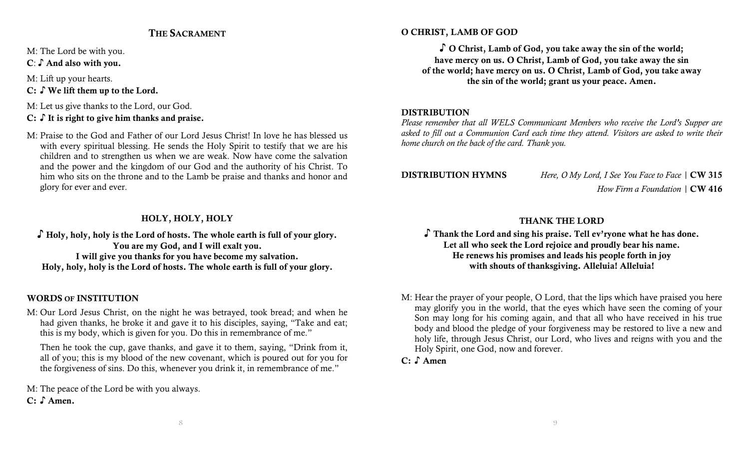## THE SACRAMENT

M: The Lord be with you.

C: ♪ And also with you.

M: Lift up your hearts.

C: ♪ We lift them up to the Lord.

M: Let us give thanks to the Lord, our God.

C: ∫It is right to give him thanks and praise.

M: Praise to the God and Father of our Lord Jesus Christ! In love he has blessed us with every spiritual blessing. He sends the Holy Spirit to testify that we are his children and to strengthen us when we are weak. Now have come the salvation and the power and the kingdom of our God and the authority of his Christ. To him who sits on the throne and to the Lamb be praise and thanks and honor and glory for ever and ever.

## HOLY, HOLY, HOLY

♪ Holy, holy, holy is the Lord of hosts. The whole earth is full of your glory. You are my God, and I will exalt you. I will give you thanks for you have become my salvation. Holy, holy, holy is the Lord of hosts. The whole earth is full of your glory.

## WORDS OF INSTITUTION

M: Our Lord Jesus Christ, on the night he was betrayed, took bread; and when he had given thanks, he broke it and gave it to his disciples, saying, "Take and eat; this is my body, which is given for you. Do this in remembrance of me."

Then he took the cup, gave thanks, and gave it to them, saying, "Drink from it, all of you; this is my blood of the new covenant, which is poured out for you for the forgiveness of sins. Do this, whenever you drink it, in remembrance of me."

M: The peace of the Lord be with you always. C: ♪ Amen.

## O CHRIST, LAMB OF GOD

♪ O Christ, Lamb of God, you take away the sin of the world; have mercy on us. O Christ, Lamb of God, you take away the sin of the world; have mercy on us. O Christ, Lamb of God, you take away the sin of the world; grant us your peace. Amen.

## **DISTRIBUTION**

Please remember that all WELS Communicant Members who receive the Lord's Supper are asked to fill out a Communion Card each time they attend. Visitors are asked to write their home church on the back of the card. Thank you.

DISTRIBUTION HYMNS Here, O My Lord, I See You Face to Face | CW 315 How Firm a Foundation  $\vert$  CW 416

## THANK THE LORD

♪ Thank the Lord and sing his praise. Tell ev'ryone what he has done. Let all who seek the Lord rejoice and proudly bear his name. He renews his promises and leads his people forth in joy with shouts of thanksgiving. Alleluia! Alleluia!

M: Hear the prayer of your people, O Lord, that the lips which have praised you here may glorify you in the world, that the eyes which have seen the coming of your Son may long for his coming again, and that all who have received in his true body and blood the pledge of your forgiveness may be restored to live a new and holy life, through Jesus Christ, our Lord, who lives and reigns with you and the Holy Spirit, one God, now and forever.

C: ♪ Amen